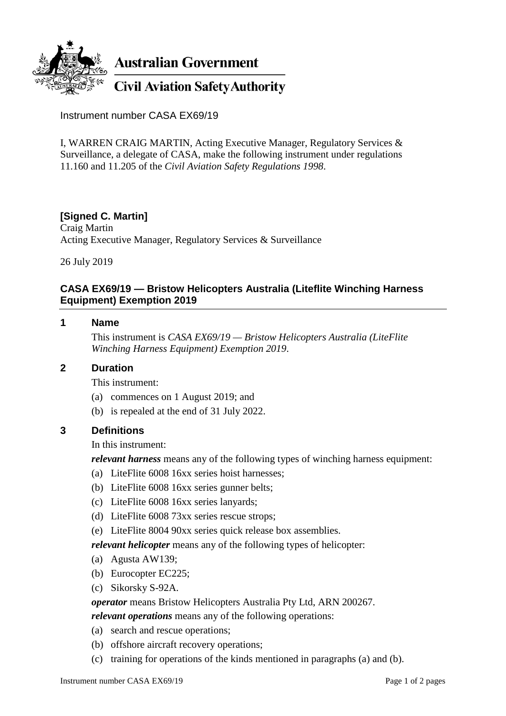

Instrument number CASA EX69/19

I, WARREN CRAIG MARTIN, Acting Executive Manager, Regulatory Services & Surveillance, a delegate of CASA, make the following instrument under regulations 11.160 and 11.205 of the *Civil Aviation Safety Regulations 1998*.

## **[Signed C. Martin]**

Craig Martin Acting Executive Manager, Regulatory Services & Surveillance

26 July 2019

# **CASA EX69/19 — Bristow Helicopters Australia (Liteflite Winching Harness Equipment) Exemption 2019**

#### **1 Name**

This instrument is *CASA EX69/19 — Bristow Helicopters Australia (LiteFlite Winching Harness Equipment) Exemption 2019*.

#### **2 Duration**

This instrument:

- (a) commences on 1 August 2019; and
- (b) is repealed at the end of 31 July 2022.

#### **3 Definitions**

#### In this instrument:

*relevant harness* means any of the following types of winching harness equipment:

- (a) LiteFlite 6008 16xx series hoist harnesses;
- (b) LiteFlite 6008 16xx series gunner belts;
- (c) LiteFlite 6008 16xx series lanyards;
- (d) LiteFlite 6008 73xx series rescue strops;
- (e) LiteFlite 8004 90xx series quick release box assemblies.

*relevant helicopter* means any of the following types of helicopter:

- (a) Agusta AW139;
- (b) Eurocopter EC225;
- (c) Sikorsky S-92A.

*operator* means Bristow Helicopters Australia Pty Ltd, ARN 200267.

*relevant operations* means any of the following operations:

- (a) search and rescue operations;
- (b) offshore aircraft recovery operations;
- (c) training for operations of the kinds mentioned in paragraphs (a) and (b).